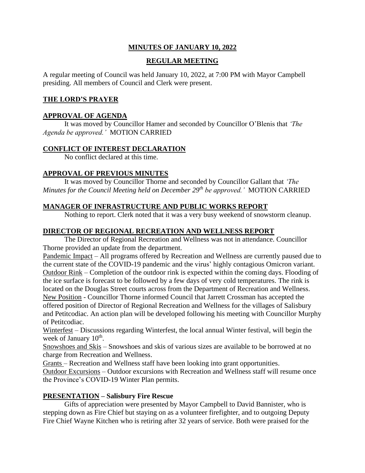## **MINUTES OF JANUARY 10, 2022**

# **REGULAR MEETING**

A regular meeting of Council was held January 10, 2022, at 7:00 PM with Mayor Campbell presiding. All members of Council and Clerk were present.

## **THE LORD'S PRAYER**

## **APPROVAL OF AGENDA**

It was moved by Councillor Hamer and seconded by Councillor O'Blenis that *'The Agenda be approved.'* MOTION CARRIED

## **CONFLICT OF INTEREST DECLARATION**

No conflict declared at this time.

# **APPROVAL OF PREVIOUS MINUTES**

It was moved by Councillor Thorne and seconded by Councillor Gallant that *'The Minutes for the Council Meeting held on December 29 th be approved.'* MOTION CARRIED

# **MANAGER OF INFRASTRUCTURE AND PUBLIC WORKS REPORT**

Nothing to report. Clerk noted that it was a very busy weekend of snowstorm cleanup.

# **DIRECTOR OF REGIONAL RECREATION AND WELLNESS REPORT**

The Director of Regional Recreation and Wellness was not in attendance. Councillor Thorne provided an update from the department.

Pandemic Impact – All programs offered by Recreation and Wellness are currently paused due to the current state of the COVID-19 pandemic and the virus' highly contagious Omicron variant. Outdoor Rink – Completion of the outdoor rink is expected within the coming days. Flooding of the ice surface is forecast to be followed by a few days of very cold temperatures. The rink is located on the Douglas Street courts across from the Department of Recreation and Wellness. New Position - Councillor Thorne informed Council that Jarrett Crossman has accepted the offered position of Director of Regional Recreation and Wellness for the villages of Salisbury and Petitcodiac. An action plan will be developed following his meeting with Councillor Murphy of Petitcodiac.

Winterfest – Discussions regarding Winterfest, the local annual Winter festival, will begin the week of January 10<sup>th</sup>.

Snowshoes and Skis – Snowshoes and skis of various sizes are available to be borrowed at no charge from Recreation and Wellness.

Grants – Recreation and Wellness staff have been looking into grant opportunities.

Outdoor Excursions – Outdoor excursions with Recreation and Wellness staff will resume once the Province's COVID-19 Winter Plan permits.

## **PRESENTATION – Salisbury Fire Rescue**

Gifts of appreciation were presented by Mayor Campbell to David Bannister, who is stepping down as Fire Chief but staying on as a volunteer firefighter, and to outgoing Deputy Fire Chief Wayne Kitchen who is retiring after 32 years of service. Both were praised for the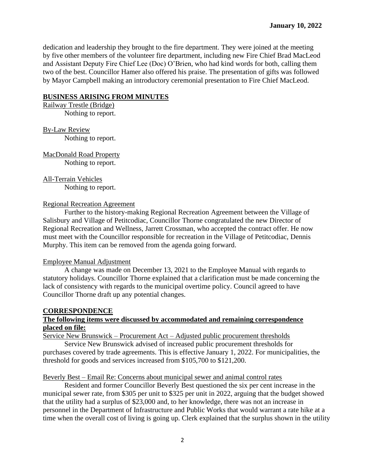dedication and leadership they brought to the fire department. They were joined at the meeting by five other members of the volunteer fire department, including new Fire Chief Brad MacLeod and Assistant Deputy Fire Chief Lee (Doc) O'Brien, who had kind words for both, calling them two of the best. Councillor Hamer also offered his praise. The presentation of gifts was followed by Mayor Campbell making an introductory ceremonial presentation to Fire Chief MacLeod.

#### **BUSINESS ARISING FROM MINUTES**

Railway Trestle (Bridge) Nothing to report.

By-Law Review Nothing to report.

MacDonald Road Property Nothing to report.

All-Terrain Vehicles

Nothing to report.

#### Regional Recreation Agreement

Further to the history-making Regional Recreation Agreement between the Village of Salisbury and Village of Petitcodiac, Councillor Thorne congratulated the new Director of Regional Recreation and Wellness, Jarrett Crossman, who accepted the contract offer. He now must meet with the Councillor responsible for recreation in the Village of Petitcodiac, Dennis Murphy. This item can be removed from the agenda going forward.

#### Employee Manual Adjustment

A change was made on December 13, 2021 to the Employee Manual with regards to statutory holidays. Councillor Thorne explained that a clarification must be made concerning the lack of consistency with regards to the municipal overtime policy. Council agreed to have Councillor Thorne draft up any potential changes.

## **CORRESPONDENCE**

## **The following items were discussed by accommodated and remaining correspondence placed on file:**

Service New Brunswick – Procurement Act – Adjusted public procurement thresholds

Service New Brunswick advised of increased public procurement thresholds for purchases covered by trade agreements. This is effective January 1, 2022. For municipalities, the threshold for goods and services increased from \$105,700 to \$121,200.

#### Beverly Best – Email Re: Concerns about municipal sewer and animal control rates

Resident and former Councillor Beverly Best questioned the six per cent increase in the municipal sewer rate, from \$305 per unit to \$325 per unit in 2022, arguing that the budget showed that the utility had a surplus of \$23,000 and, to her knowledge, there was not an increase in personnel in the Department of Infrastructure and Public Works that would warrant a rate hike at a time when the overall cost of living is going up. Clerk explained that the surplus shown in the utility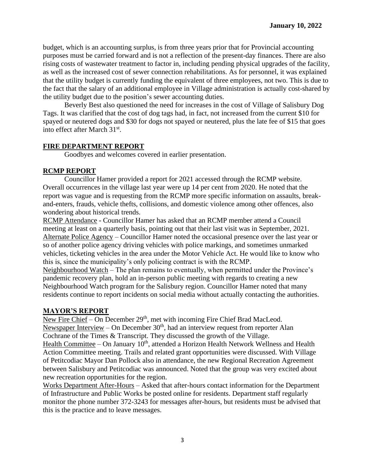budget, which is an accounting surplus, is from three years prior that for Provincial accounting purposes must be carried forward and is not a reflection of the present-day finances. There are also rising costs of wastewater treatment to factor in, including pending physical upgrades of the facility, as well as the increased cost of sewer connection rehabilitations. As for personnel, it was explained that the utility budget is currently funding the equivalent of three employees, not two. This is due to the fact that the salary of an additional employee in Village administration is actually cost-shared by the utility budget due to the position's sewer accounting duties.

Beverly Best also questioned the need for increases in the cost of Village of Salisbury Dog Tags. It was clarified that the cost of dog tags had, in fact, not increased from the current \$10 for spayed or neutered dogs and \$30 for dogs not spayed or neutered, plus the late fee of \$15 that goes into effect after March 31<sup>st</sup>.

## **FIRE DEPARTMENT REPORT**

Goodbyes and welcomes covered in earlier presentation.

## **RCMP REPORT**

Councillor Hamer provided a report for 2021 accessed through the RCMP website. Overall occurrences in the village last year were up 14 per cent from 2020. He noted that the report was vague and is requesting from the RCMP more specific information on assaults, breakand-enters, frauds, vehicle thefts, collisions, and domestic violence among other offences, also wondering about historical trends.

RCMP Attendance - Councillor Hamer has asked that an RCMP member attend a Council meeting at least on a quarterly basis, pointing out that their last visit was in September, 2021. Alternate Police Agency – Councillor Hamer noted the occasional presence over the last year or so of another police agency driving vehicles with police markings, and sometimes unmarked vehicles, ticketing vehicles in the area under the Motor Vehicle Act. He would like to know who this is, since the municipality's only policing contract is with the RCMP.

Neighbourhood Watch – The plan remains to eventually, when permitted under the Province's pandemic recovery plan, hold an in-person public meeting with regards to creating a new Neighbourhood Watch program for the Salisbury region. Councillor Hamer noted that many residents continue to report incidents on social media without actually contacting the authorities.

## **MAYOR'S REPORT**

New Fire Chief – On December 29<sup>th</sup>, met with incoming Fire Chief Brad MacLeod. Newspaper Interview – On December  $30<sup>th</sup>$ , had an interview request from reporter Alan Cochrane of the Times & Transcript. They discussed the growth of the Village.

Health Committee – On January 10<sup>th</sup>, attended a Horizon Health Network Wellness and Health Action Committee meeting. Trails and related grant opportunities were discussed. With Village of Petitcodiac Mayor Dan Pollock also in attendance, the new Regional Recreation Agreement between Salisbury and Petitcodiac was announced. Noted that the group was very excited about new recreation opportunities for the region.

Works Department After-Hours – Asked that after-hours contact information for the Department of Infrastructure and Public Works be posted online for residents. Department staff regularly monitor the phone number 372-3243 for messages after-hours, but residents must be advised that this is the practice and to leave messages.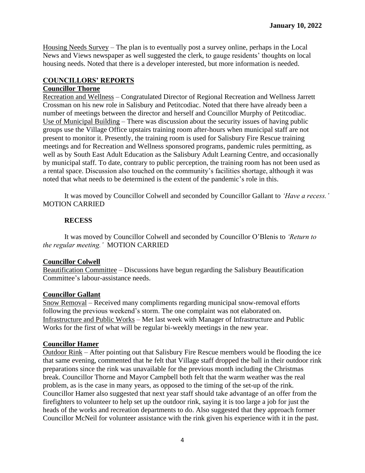Housing Needs Survey – The plan is to eventually post a survey online, perhaps in the Local News and Views newspaper as well suggested the clerk, to gauge residents' thoughts on local housing needs. Noted that there is a developer interested, but more information is needed.

# **COUNCILLORS' REPORTS**

## **Councillor Thorne**

Recreation and Wellness – Congratulated Director of Regional Recreation and Wellness Jarrett Crossman on his new role in Salisbury and Petitcodiac. Noted that there have already been a number of meetings between the director and herself and Councillor Murphy of Petitcodiac. Use of Municipal Building – There was discussion about the security issues of having public groups use the Village Office upstairs training room after-hours when municipal staff are not present to monitor it. Presently, the training room is used for Salisbury Fire Rescue training meetings and for Recreation and Wellness sponsored programs, pandemic rules permitting, as well as by South East Adult Education as the Salisbury Adult Learning Centre, and occasionally by municipal staff. To date, contrary to public perception, the training room has not been used as a rental space. Discussion also touched on the community's facilities shortage, although it was noted that what needs to be determined is the extent of the pandemic's role in this.

It was moved by Councillor Colwell and seconded by Councillor Gallant to *'Have a recess.'*  MOTION CARRIED

## **RECESS**

It was moved by Councillor Colwell and seconded by Councillor O'Blenis to *'Return to the regular meeting.'* MOTION CARRIED

## **Councillor Colwell**

Beautification Committee – Discussions have begun regarding the Salisbury Beautification Committee's labour-assistance needs.

## **Councillor Gallant**

Snow Removal – Received many compliments regarding municipal snow-removal efforts following the previous weekend's storm. The one complaint was not elaborated on. Infrastructure and Public Works – Met last week with Manager of Infrastructure and Public Works for the first of what will be regular bi-weekly meetings in the new year.

## **Councillor Hamer**

Outdoor Rink – After pointing out that Salisbury Fire Rescue members would be flooding the ice that same evening, commented that he felt that Village staff dropped the ball in their outdoor rink preparations since the rink was unavailable for the previous month including the Christmas break. Councillor Thorne and Mayor Campbell both felt that the warm weather was the real problem, as is the case in many years, as opposed to the timing of the set-up of the rink. Councillor Hamer also suggested that next year staff should take advantage of an offer from the firefighters to volunteer to help set up the outdoor rink, saying it is too large a job for just the heads of the works and recreation departments to do. Also suggested that they approach former Councillor McNeil for volunteer assistance with the rink given his experience with it in the past.